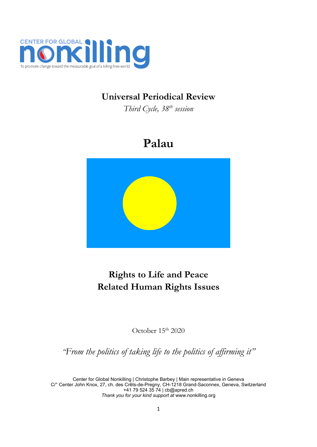

## **Universal Periodical Review**

*Third Cycle, <sup>38</sup>th session*

# **Palau**



## **Rights to Life and Peace Related Human Rights Issues**

October 15<sup>th</sup> 2020

*"From the politics of taking life to the politics of affirming it"*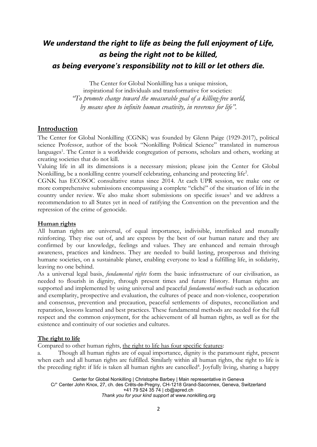## *We understand the right to life as being the full enjoyment of Life, as being the right not to be killed, as being everyone'<sup>s</sup> responsibility not to kill or let others die.*

The Center for Global Nonkilling has <sup>a</sup> unique mission,

inspirational for individuals and transformative for societies: *"To promote change toward the measurable goal of <sup>a</sup> killing-free world, by means open to infinite human creativity, in reverence for life".*

## **Introduction**

The Center for Global Nonkilling (CGNK) was founded by Glenn Paige (1929-2017), political science Professor, author of the book "Nonkilling Political Science" translated in numerous languages 1 . The Center is <sup>a</sup> worldwide congregation of persons, scholars and others, working at creating societies that do not kill.

Valuing life in all its dimensions is <sup>a</sup> necessary mission; please join the Center for Global Nonkilling, be <sup>a</sup> nonkilling centre yourself celebrating, enhancing and protecting life 2 .

CGNK has ECOSOC consultative status since 2014. At each UPR session, we make one or more comprehensive submissions encompassing <sup>a</sup> complete "cliché" of the situation of life in the country under review. We also make short submissions on specific issues 3 and we address <sup>a</sup> recommendation to all States ye<sup>t</sup> in need of ratifying the Convention on the prevention and the repression of the crime of genocide.

## **Human rights**

All human rights are universal, of equal importance, indivisible, interlinked and mutually reinforcing. They rise out of, and are express by the best of our human nature and they are confirmed by our knowledge, feelings and values. They are enhanced and remain through awareness, practices and kindness. They are needed to build lasting, prosperous and thriving humane societies, on <sup>a</sup> sustainable planet, enabling everyone to lead <sup>a</sup> fulfilling life, in solidarity, leaving no one behind.

As <sup>a</sup> universal legal basis, *fundamental rights* form the basic infrastructure of our civilisation, as needed to flourish in dignity, through present times and future History. Human rights are supported and implemented by using universal and peaceful *fundamental methods* such as education and exemplarity, prospective and evaluation, the cultures of peace and non-violence, cooperation and consensus, prevention and precaution, peaceful settlements of disputes, reconciliation and reparation, lessons learned and best practices. These fundamental methods are needed for the full respect and the common enjoyment, for the achievement of all human rights, as well as for the existence and continuity of our societies and cultures.

## **The right to life**

Compared to other human rights, the right to life has four specific features:

Though all human rights are of equal importance, dignity is the paramount right, present when each and all human rights are fulfilled. Similarly within all human rights, the right to life is the preceding right: if life is taken all human rights are cancelled<sup>4</sup>. Joyfully living, sharing a happy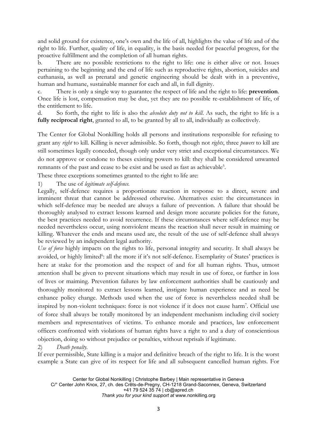and solid ground for existence, one'<sup>s</sup> own and the life of all, highlights the value of life and of the right to life. Further, quality of life, in equality, is the basis needed for peaceful progress, for the proactive fulfillment and the completion of all human rights.

b. There are no possible restrictions to the right to life: one is either alive or not. Issues pertaining to the beginning and the end of life such as reproductive rights, abortion, suicides and euthanasia, as well as prenatal and genetic engineering should be dealt with in <sup>a</sup> preventive, human and humane, sustainable manner for each and all, in full dignity.

c. There is only <sup>a</sup> single way to guarantee the respect of life and the right to life: **prevention**. Once life is lost, compensation may be due, ye<sup>t</sup> they are no possible re-establishment of life, of the entitlement to life.

d. So forth, the right to life is also the *absolute duty not to kill*. As such, the right to life is <sup>a</sup> **fully reciprocal right**, granted to all, to be granted by all to all, individually as collectively.

The Center for Global Nonkilling holds all persons and institutions responsible for refusing to grant any *right* to kill. Killing is never admissible. So forth, though not *rights*, three *powers* to kill are still sometimes legally conceded, though only under very strict and exceptional circumstances. We do not approve or condone to theses existing powers to kill: they shall be considered unwanted remnants of the past and cease to be exist and be used as fast as achievable 5 .

These three exceptions sometimes granted to the right to life are:

1) The use of *legitimate self-defence.*

Legally, self-defence requires <sup>a</sup> proportionate reaction in response to <sup>a</sup> direct, severe and imminent threat that cannot be addressed otherwise. Alternatives exist: the circumstances in which self-defence may be needed are always <sup>a</sup> failure of prevention. A failure that should be thoroughly analysed to extract lessons learned and design more accurate policies for the future, the best practices needed to avoid recurrence. If these circumstances where self-defence may be needed nevertheless occur, using nonviolent means the reaction shall never result in maiming or killing. Whatever the ends and means used are, the result of the use of self-defence shall always be reviewed by an independent legal authority.

*Use of force* highly impacts on the rights to life, personal integrity and security. It shall always be avoided, or highly limited<sup>6</sup>: all the more if it's not self-defence. Exemplarity of States' practices is here at stake for the promotion and the respect of and for all human rights. Thus, utmost attention shall be given to prevent situations which may result in use of force, or further in loss of lives or maiming. Prevention failures by law enforcement authorities shall be cautiously and thoroughly monitored to extract lessons learned, instigate human experience and as need be enhance policy change. Methods used when the use of force is nevertheless needed shall be inspired by non-violent techniques: force is not violence if it does not cause harm<sup>7</sup> . Official use of force shall always be totally monitored by an independent mechanism including civil society members and representatives of victims. To enhance morale and practices, law enforcement officers confronted with violations of human rights have <sup>a</sup> right to and <sup>a</sup> duty of conscientious objection, doing so without prejudice or penalties, without reprisals if legitimate.

2) *Death penalty.*

If ever permissible, State killing is <sup>a</sup> major and definitive breach of the right to life. It is the worst example <sup>a</sup> State can give of its respect for life and all subsequent cancelled human rights. For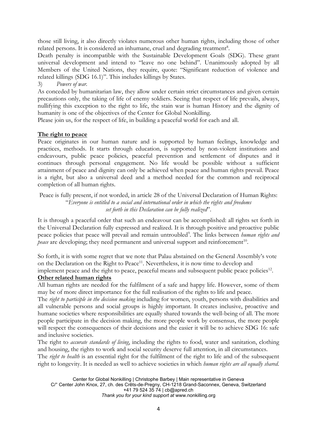those still living, it also directly violates numerous other human rights, including those of other related persons. It is considered an inhumane, cruel and degrading treatment<sup>8</sup>.

Death penalty is incompatible with the Sustainable Development Goals (SDG). These grant universal development and intend to "leave no one behind". Unanimously adopted by all Members of the United Nations, they require, quote: "Significant reduction of violence and related killings (SDG 16.1)". This includes killings by States.

3) *Powers of war.*

As conceded by humanitarian law, they allow under certain strict circumstances and given certain precautions only, the taking of life of enemy soldiers. Seeing that respect of life prevails, always, nullifying this exception to the right to life, the stain war is human History and the dignity of humanity is one of the objectives of the Center for Global Nonkilling.

Please join us, for the respect of life, in building <sup>a</sup> peaceful world for each and all.

#### **The right to peace**

Peace originates in our human nature and is supported by human feelings, knowledge and practices, methods. It starts through education, is supported by non-violent institutions and endeavours, public peace policies, peaceful prevention and settlement of disputes and it continues through personal engagement. No life would be possible without <sup>a</sup> sufficient attainment of peace and dignity can only be achieved when peace and human rights prevail. Peace is <sup>a</sup> right, but also <sup>a</sup> universal deed and <sup>a</sup> method needed for the common and reciprocal completion of all human rights.

Peace is fully present, if not worded, in article 28 of the Universal Declaration of Human Rights: "*Everyone is entitled to <sup>a</sup> social and international order in which the rights and freedoms set forth in this Declaration can be fully realized*".

It is through <sup>a</sup> peaceful order that such an endeavour can be accomplished: all rights set forth in the Universal Declaration fully expressed and realized. It is through positive and proactive public peace policies that peace will prevail and remain untroubled<sup>9</sup>. The links between *human rights and* peace are developing; they need permanent and universal support and reinforcement<sup>10</sup>.

So forth, it is with some regret that we note that Palau abstained on the General Assembly'<sup>s</sup> vote on the Declaration on the Right to Peace<sup>11</sup>. Nevertheless, it is now time to develop and implement peace and the right to peace, peaceful means and subsequent public peace policies $^{\rm 12}$ .

#### **Other related human rights**

All human rights are needed for the fulfilment of <sup>a</sup> safe and happy life. However, some of them may be of more direct importance for the full realisation of the rights to life and peace.

The *right to participle in the decision making* including for women, youth, persons with disabilities and all vulnerable persons and social groups is highly important. It creates inclusive, proactive and humane societies where responsibilities are equally shared towards the well-being of all. The more people participate in the decision making, the more people work by consensus, the more people will respect the consequences of their decisions and the easier it will be to achieve SDG 16: safe and inclusive societies.

The right to *accurate standards of living*, including the rights to food, water and sanitation, clothing and housing, the rights to work and social security deserve full attention, in all circumstances.

The *right to health* is an essential right for the fulfilment of the right to life and of the subsequent right to longevity. It is needed as well to achieve societies in which *human rights are all equally shared*.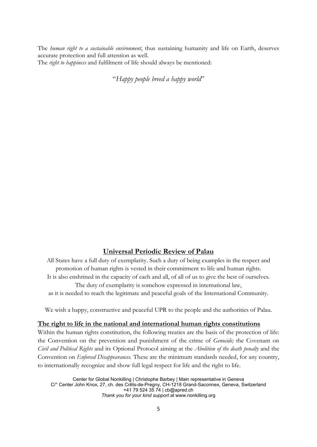The *human right to <sup>a</sup> sustainable environment*, thus sustaining humanity and life on Earth, deserves accurate protection and full attention as well. The *right to happiness* and fulfilment of life should always be mentioned:

"*Happy people breed <sup>a</sup> happy world*"

## **Universal Periodic Review of Palau**

All States have <sup>a</sup> full duty of exemplarity. Such <sup>a</sup> duty of being examples in the respect and promotion of human rights is vested in their commitment to life and human rights. It is also enshrined in the capacity of each and all, of all of us to give the best of ourselves. The duty of exemplarity is somehow expressed in international law, as it is needed to reach the legitimate and peaceful goals of the International Community.

We wish <sup>a</sup> happy, constructive and peaceful UPR to the people and the authorities of Palau.

### **The right to life in the national and international human rights constitutions**

Within the human rights constitution, the following treaties are the basis of the protection of life: the Convention on the prevention and punishment of the crime of *Genocide;* the Covenant on *Civil and Political Rights* and its Optional Protocol aiming at the *Abolition of the death penalty* and the Convention on *Enforced Disappearances*. These are the minimum standards needed, for any country, to internationally recognize and show full legal respect for life and the right to life.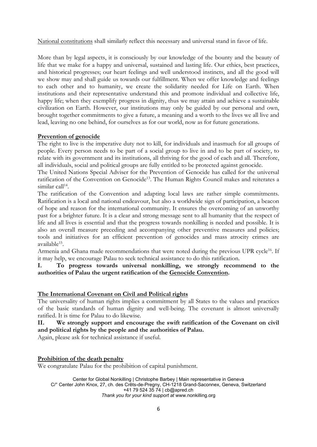National constitutions shall similarly reflect this necessary and universal stand in favor of life.

More than by legal aspects, it is consciously by our knowledge of the bounty and the beauty of life that we make for <sup>a</sup> happy and universal, sustained and lasting life. Our ethics, best practices, and historical progresses; our heart feelings and well understood instincts, and all the good will we show may and shall guide us towards our fulfillment. When we offer knowledge and feelings to each other and to humanity, we create the solidarity needed for Life on Earth. When institutions and their representative understand this and promote individual and collective life, happy life; when they exemplify progress in dignity, thus we may attain and achieve <sup>a</sup> sustainable civilization on Earth. However, our institutions may only be guided by our personal and own, brought together commitments to give <sup>a</sup> future, <sup>a</sup> meaning and <sup>a</sup> worth to the lives we all live and lead, leaving no one behind, for ourselves as for our world, now as for future generations.

## **Prevention of genocide**

The right to live is the imperative duty not to kill, for individuals and inasmuch for all groups of people. Every person needs to be part of <sup>a</sup> social group to live in and to be part of society, to relate with its government and its institutions, all thriving for the good of each and all. Therefore, all individuals, social and political groups are fully entitled to be protected against genocide.

The United Nations Special Adviser for the Prevention of Genocide has called for the universal ratification of the Convention on Genocide<sup>13</sup>. The Human Rights Council makes and reiterates a similar call<sup>14</sup>.

The ratification of the Convention and adapting local laws are rather simple commitments. Ratification is <sup>a</sup> local and national endeavour, but also <sup>a</sup> worldwide sign of participation, <sup>a</sup> beacon of hope and reason for the international community. It ensures the overcoming of an unworthy past for <sup>a</sup> brighter future. It is <sup>a</sup> clear and strong message sent to all humanity that the respect of life and all lives is essential and that the progress towards nonkilling is needed and possible. It is also an overall measure preceding and accompanying other preventive measures and policies; tools and initiatives for an efficient prevention of genocides and mass atrocity crimes are available<sup>15</sup>.

Armenia and Ghana made recommendations that were noted during the previous UPR cycle<sup>16</sup>. If it may help, we encourage Palau to seek technical assistance to do this ratification.

**I. To progress towards universal nonkilling, we strongly recommend to the authorities of Palau the urgent ratification of the Genocide Convention.**

## **The International Covenant on Civil and Political rights**

The universality of human rights implies <sup>a</sup> commitment by all States to the values and practices of the basic standards of human dignity and well-being. The covenant is almost universally ratified. It is time for Palau to do likewise.

**II. We strongly support and encourage the swift ratification of the Covenant on civil and political rights by the people and the authorities of Palau.**

Again, please ask for technical assistance if useful.

### **Prohibition of the death penalty**

We congratulate Palau for the prohibition of capital punishment.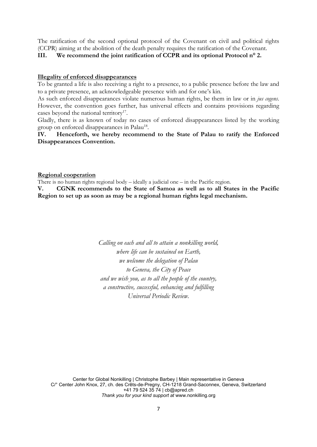The ratification of the second optional protocol of the Covenant on civil and political rights (CCPR) aiming at the abolition of the death penalty requires the ratification of the Covenant.

**III. We recommend the joint ratification of CCPR and its optional Protocol <sup>n</sup>° 2.**

#### **Illegality of enforced disappearances**

To be granted <sup>a</sup> life is also receiving <sup>a</sup> right to <sup>a</sup> presence, to <sup>a</sup> public presence before the law and to <sup>a</sup> private presence, an acknowledgeable presence with and for one'<sup>s</sup> kin.

As such enforced disappearances violate numerous human rights, be them in law or in *jus cogens*. However, the convention goes further, has universal effects and contains provisions regarding cases beyond the national territory<sup>17</sup>.

Gladly, there is as known of today no cases of enforced disappearances listed by the working group on enforced disappearances in Palau<sup>18</sup>.

### **IV. Henceforth, we hereby recommend to the State of Palau to ratify the Enforced Disappearances Convention.**

#### **Regional cooperation**

There is no human rights regional body  $-$  ideally a judicial one  $-$  in the Pacific region.

**V. CGNK recommends to the State of Samoa as well as to all States in the Pacific Region to set up as soon as may be <sup>a</sup> regional human rights legal mechanism.**

> *Calling on each and all to attain <sup>a</sup> nonkilling world, where life can be sustained on Earth, we welcome the delegation of Palau to Geneva, the City of Peace and we wish you, as to all the people of the country, <sup>a</sup> constructive, successful, enhancing and fulfilling Universal Periodic Review.*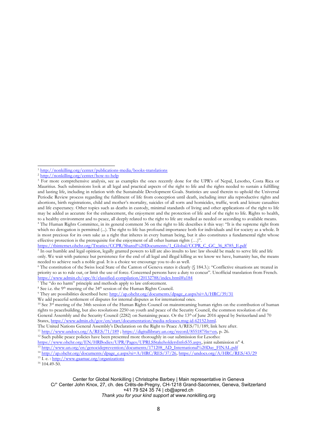4 The Human Rights Committee, in its general comment 36 on the right to life describes it this way: "It is the supreme right from which no derogation is permitted (...). The right to life has profound importance both for individuals and for society as a whole. It is most precious for its own sake as <sup>a</sup> right that inheres in every human being, but it also constitutes <sup>a</sup> fundamental right whose effective protection is the prerequisite for the enjoyment of all other human rights (…)".

C/° Center John Knox, 27, ch. des Crêts-de-Pregny, CH-1218 Grand-Saconnex, Geneva, Switzerland +41 79 524 35 74 | [cb@apred.ch](mailto:cb@apred.ch)

*Thank you for your kind support at* [www.nonkilling.org](http://www.nonkilling.org)

<sup>&</sup>lt;sup>1</sup> <http://nonkilling.org/center/publications-media/books-translations>

<sup>&</sup>lt;sup>2</sup> <http://nonkilling.org/center/how-to-help>

<sup>&</sup>lt;sup>3</sup> For more comprehensive analysis, see as examples the ones recently done for the UPR's of Nepal, Lesotho, Costa Rica or Mauritius. Such submissions look at all legal and practical aspects of the right to life and the rights needed to sustain <sup>a</sup> fulfilling and lasting life, including in relation with the Sustainable Development Goals. Statistics are used therein to uphold the Universal Periodic Review process regarding the fulfilment of life from conception until death, including inter alia reproductive rights and abortions, birth registrations, child and mother'<sup>s</sup> mortality, suicides of all sorts and homicides, traffic, work and leisure casualties and life expectancy. Other topics such as deaths in custody, minimal standards of living and other applications of the right to life may be added as accurate for the enhancement, the enjoyment and the protection of life and of the right to life. Rights to health, to <sup>a</sup> healthy environment and to peace, all deeply related to the right to life are studied as needed or according to available means.

[https://tbinternet.ohchr.org/Treaties/CCPR/Shared%20Documents/1\\_Global/CCPR\\_C\\_GC\\_36\\_8785\\_E.pdf](https://tbinternet.ohchr.org/Treaties/CCPR/Shared%20Documents/1_Global/CCPR_C_GC_36_8785_E.pdf)

<sup>&</sup>lt;sup>5</sup> In our humble and legal opinion, legally granted powers to kill are also insults to law: law should be made to serve life and life only. We wait with patience but persistence for the end of all legal and illegal killing as we know we have, humanity has, the means needed to achieve such <sup>a</sup> noble goal. It is <sup>a</sup> choice we encourage you to do as well.

<sup>&</sup>lt;sup>6</sup> The constitution of the Swiss local State of the Canton of Geneva states it clearly (§ 184.3.): "Conflictive situations are treated in priority so as to rule out, or limit the use of force. Concerned persons have <sup>a</sup> duty to concur". Unofficial translation from French. <https://www.admin.ch/opc/fr/classified-compilation/20132788/index.html#a184> 7 The "do no harm" principle and methods apply to law enforcement.

<sup>&</sup>lt;sup>8</sup> See i.e. the 9<sup>th</sup> meeting of the 34<sup>th</sup> session of the Human Rights Council.

<sup>&</sup>lt;sup>9</sup> They are possibilities described here: [http://ap.ohchr.org/documents/dpage\\_e.aspx?si=A/HRC/39/31](http://ap.ohchr.org/documents/dpage_e.aspx?si=A/HRC/39/31)

We add peaceful settlement of disputes for internal disputes as for international ones.

 $10$  See  $3<sup>rd</sup>$  meeting of the 34th session of the Human Rights Council on mainstreaming human rights on the contribution of human rights to peacebuilding, but also resolutions 2250 on youth and peace of the Security Council, the common resolution of the General Assembly and the Security Council (2282) on Sustaining peace. Or the 13<sup>th</sup> of June 2016 appeal by Switzerland and 70 States, <https://www.admin.ch/gov/en/start/documentation/media-releases.msg-id-62152.html>.

The United Nations General Assembly'<sup>s</sup> Declaration on the Right to Peace A/RES/71/189, link here after.

<sup>11</sup> <http://www.undocs.org/A/RES/71/189> ; <https://digitallibrary.un.org/record/855187?ln=en>, p. 26.

<sup>&</sup>lt;sup>12</sup> Such public peace policies have been presented more thoroughly in our submission for Lesotho:

[https://www.ohchr.org/EN/HRBodies/UPR/Pages/UPRLSStakeholdersInfoS35.aspx,](https://www.ohchr.org/EN/HRBodies/UPR/Pages/UPRLSStakeholdersInfoS35.aspx) joint submission <sup>n</sup>° 4.

<sup>&</sup>lt;sup>13</sup>[http://www.un.org/en/genocideprevention/documents/171208\\_AD\\_International%20Day\\_FINAL.pdf](http://www.un.org/en/genocideprevention/documents/171208_AD_International%20Day_FINAL.pdf)

<sup>&</sup>lt;sup>14</sup> [http://ap.ohchr.org/documents/dpage\\_e.aspx?si=A/HRC/RES/37/26](http://ap.ohchr.org/documents/dpage_e.aspx?si=A/HRC/RES/37/26), <https://undocs.org/A/HRC/RES/43/29>

<sup>&</sup>lt;sup>15</sup> I. e. : <http://www.gaamac.org/organizations>

 $16$  104.49-50.

Center for Global Nonkilling | Christophe Barbey | Main representative in Geneva